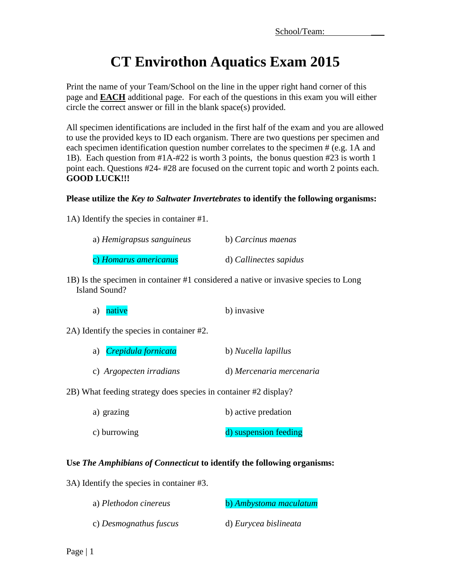# **CT Envirothon Aquatics Exam 2015**

Print the name of your Team/School on the line in the upper right hand corner of this page and **EACH** additional page. For each of the questions in this exam you will either circle the correct answer or fill in the blank space(s) provided.

All specimen identifications are included in the first half of the exam and you are allowed to use the provided keys to ID each organism. There are two questions per specimen and each specimen identification question number correlates to the specimen # (e.g. 1A and 1B). Each question from #1A-#22 is worth 3 points, the bonus question #23 is worth 1 point each. Questions #24- #28 are focused on the current topic and worth 2 points each. **GOOD LUCK!!!**

#### **Please utilize the** *Key to Saltwater Invertebrates* **to identify the following organisms:**

1A) Identify the species in container #1.

| a) Hemigrapsus sanguineus | b) Carcinus maenas     |
|---------------------------|------------------------|
| c) Homarus americanus     | d) Callinectes sapidus |

1B) Is the specimen in container #1 considered a native or invasive species to Long Island Sound?

| a) native | b) invasive |
|-----------|-------------|
|           |             |

2A) Identify the species in container #2.

| a) <i>Crepidula fornicata</i> | b) Nucella lapillus      |
|-------------------------------|--------------------------|
| c) Argopecten irradians       | d) Mercenaria mercenaria |

2B) What feeding strategy does species in container #2 display?

| a) grazing   | b) active predation   |
|--------------|-----------------------|
| c) burrowing | d) suspension feeding |

## **Use** *The Amphibians of Connecticut* **to identify the following organisms:**

3A) Identify the species in container #3.

| a) Plethodon cinereus  | b) Ambystoma maculatum |
|------------------------|------------------------|
| c) Desmognathus fuscus | d) Eurycea bislineata  |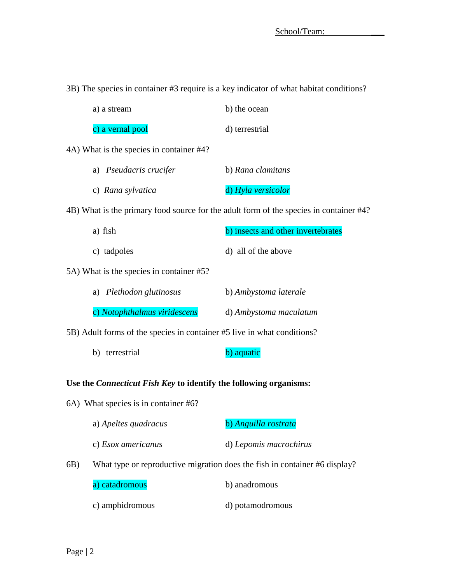3B) The species in container #3 require is a key indicator of what habitat conditions?

| a) a stream      | b) the ocean   |
|------------------|----------------|
| c) a vernal pool | d) terrestrial |

4A) What is the species in container #4?

| a) Pseudacris crucifer | b) Rana clamitans  |
|------------------------|--------------------|
| c) Rana sylvatica      | d) Hyla versicolor |

4B) What is the primary food source for the adult form of the species in container #4?

| a) fish     | b) insects and other invertebrates |
|-------------|------------------------------------|
| c) tadpoles | d) all of the above                |

5A) What is the species in container #5?

| a) Plethodon glutinosus      | b) Ambystoma laterale  |
|------------------------------|------------------------|
| c) Notophthalmus viridescens | d) Ambystoma maculatum |

5B) Adult forms of the species in container #5 live in what conditions?

b) terrestrial b) aquatic

#### **Use the** *Connecticut Fish Key* **to identify the following organisms:**

6A) What species is in container #6?

| a) Apeltes quadracus | b) Anguilla rostrata   |
|----------------------|------------------------|
| c) Esox americanus   | d) Lepomis macrochirus |

6B) What type or reproductive migration does the fish in container #6 display?

a) catadromous b) anadromous

c) amphidromous d) potamodromous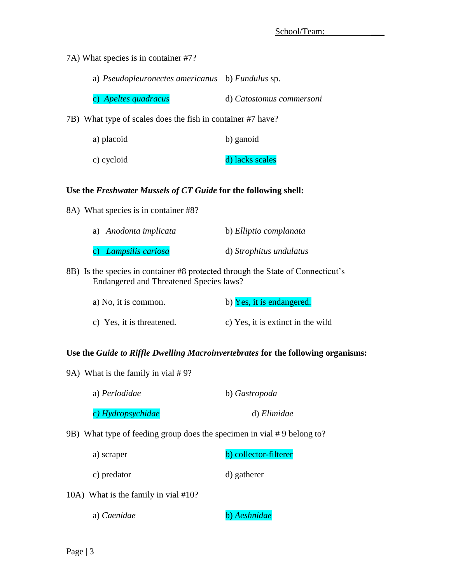7A) What species is in container #7?

| a) Pseudopleuronectes americanus b) Fundulus sp. |  |
|--------------------------------------------------|--|
|                                                  |  |

c) *Apeltes quadracus* d) *Catostomus commersoni*

7B) What type of scales does the fish in container #7 have?

| a) placoid | b) ganoid       |
|------------|-----------------|
| c) cycloid | d) lacks scales |

#### **Use the** *Freshwater Mussels of CT Guide* **for the following shell:**

8A) What species is in container #8?

| a) Anodonta implicata | b) Elliptio complanata  |
|-----------------------|-------------------------|
| c) Lampsilis cariosa  | d) Strophitus undulatus |

8B) Is the species in container #8 protected through the State of Connecticut's Endangered and Threatened Species laws?

| a) No, it is common.      | b) Yes, it is endangered.         |
|---------------------------|-----------------------------------|
| c) Yes, it is threatened. | c) Yes, it is extinct in the wild |

## **Use the** *Guide to Riffle Dwelling Macroinvertebrates* **for the following organisms:**

9A) What is the family in vial # 9?

| b) Gastropoda |
|---------------|
| d) Elimidae   |
|               |

9B) What type of feeding group does the specimen in vial # 9 belong to?

| a) scraper | b) collector-filterer |
|------------|-----------------------|
|------------|-----------------------|

- c) predator d) gatherer
- 10A) What is the family in vial #10?
	- a) *Caenidae* b) *Aeshnidae*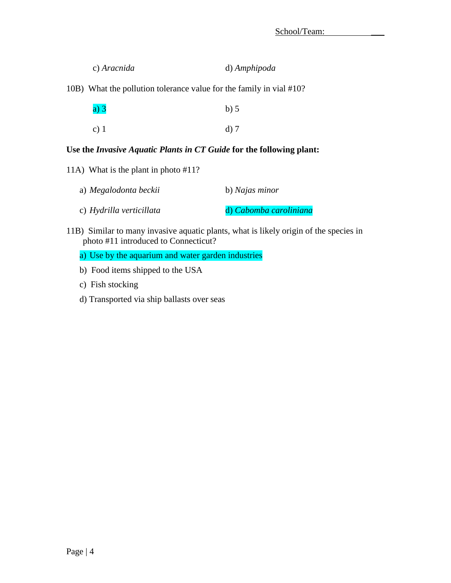| c) Aracnida | d) Amphipoda |
|-------------|--------------|
|             |              |

10B) What the pollution tolerance value for the family in vial #10?

| a)3  | $b)$ 5 |
|------|--------|
| c) 1 | $d)$ 7 |

### **Use the** *Invasive Aquatic Plants in CT Guide* **for the following plant:**

11A) What is the plant in photo #11?

| a) Megalodonta beckii    | b) Najas minor         |
|--------------------------|------------------------|
| c) Hydrilla verticillata | d) Cabomba caroliniana |

- 11B) Similar to many invasive aquatic plants, what is likely origin of the species in photo #11 introduced to Connecticut?
	- a) Use by the aquarium and water garden industries
	- b) Food items shipped to the USA
	- c) Fish stocking
	- d) Transported via ship ballasts over seas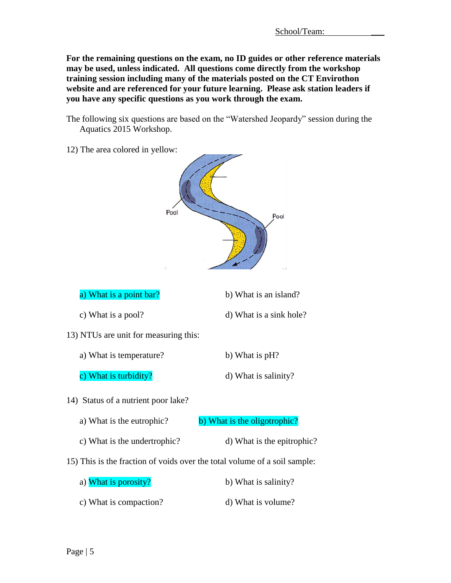**For the remaining questions on the exam, no ID guides or other reference materials may be used, unless indicated. All questions come directly from the workshop training session including many of the materials posted on the CT Envirothon website and are referenced for your future learning. Please ask station leaders if you have any specific questions as you work through the exam.**

- The following six questions are based on the "Watershed Jeopardy" session during the Aquatics 2015 Workshop.
- 12) The area colored in yellow:

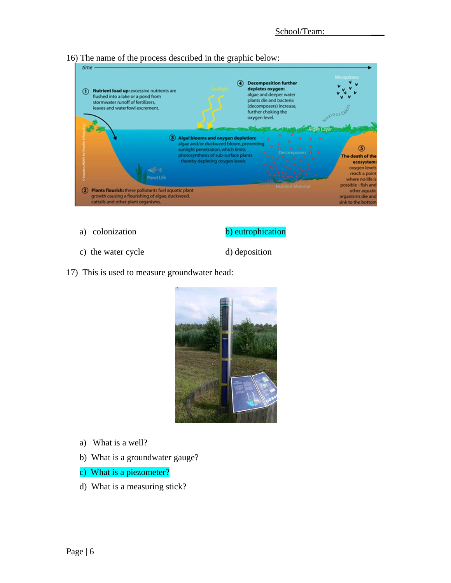

16) The name of the process described in the graphic below:

- 
- a) colonization b) eutrophication
- c) the water cycle d) deposition
	-
- 17) This is used to measure groundwater head:



- a) What is a well?
- b) What is a groundwater gauge?
- c) What is a piezometer?
- d) What is a measuring stick?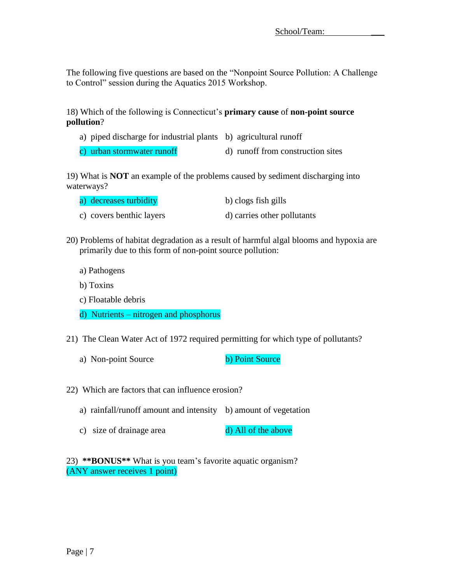The following five questions are based on the "Nonpoint Source Pollution: A Challenge to Control" session during the Aquatics 2015 Workshop.

18) Which of the following is Connecticut's **primary cause** of **non-point source pollution**?

- a) piped discharge for industrial plants b) agricultural runoff
- c) urban stormwater runoff  $\qquad$  d) runoff from construction sites

19) What is **NOT** an example of the problems caused by sediment discharging into waterways?

| a) decreases turbidity   | b) clogs fish gills         |
|--------------------------|-----------------------------|
| c) covers benthic layers | d) carries other pollutants |

- 20) Problems of habitat degradation as a result of harmful algal blooms and hypoxia are primarily due to this form of non-point source pollution:
	- a) Pathogens
	- b) Toxins
	- c) Floatable debris
	- d) Nutrients nitrogen and phosphorus
- 21) The Clean Water Act of 1972 required permitting for which type of pollutants?
	- a) Non-point Source b) Point Source
- 22) Which are factors that can influence erosion?
	- a) rainfall/runoff amount and intensity b) amount of vegetation
	- c) size of drainage area d) All of the above

23) **\*\*BONUS\*\*** What is you team's favorite aquatic organism? (ANY answer receives 1 point)